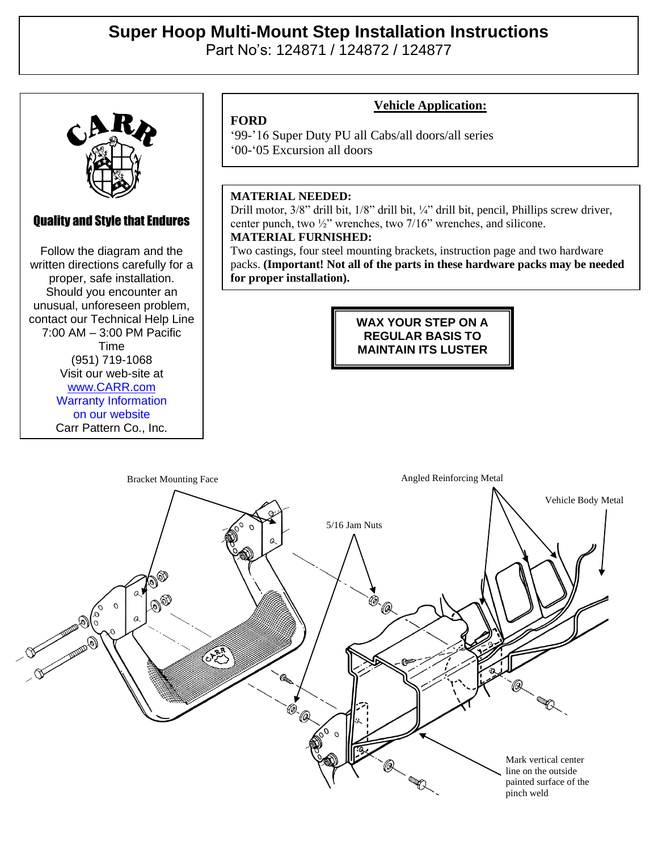# **Super Hoop Multi-Mount Step Installation Instructions**  Part No's: 124871 / 124872 / 124877

## Quality and Style that Endures

Quality and Style that Endures Follow the diagram and the Follow the diagram and the written directions carefully for a written directions carefully for a proper, safe installation. proper, safe installation. Should you encounter an Should you encounter an unusual, unforeseen problem, unusual, unforeseen problem, contact our Technical Help Line contact our Technical Help Line  $2:00$  AM  $-2:00$  DM Pacific  $(7:00 \text{ AM} - 3:00 \text{ PM} \text{ Pacific})$  $V = 10111$ (951) 719-1068 Visit our web-site at Time [www.CARR.com](http://www.carr.com/) Warranty Information on our website Carr Pattern Co., Inc.

### **Vehicle Application:**

'99-'16 Super Duty PU all Cabs/all doors/all series '00-'05 Excursion all doors

#### **MATERIAL NEEDED:**

**FORD**

Drill motor, 3/8" drill bit, 1/8" drill bit, ¼" drill bit, pencil, Phillips screw driver, center punch, two ½" wrenches, two 7/16" wrenches, and silicone. **MATERIAL FURNISHED:**

Two castings, four steel mounting brackets, instruction page and two hardware packs. **(Important! Not all of the parts in these hardware packs may be needed for proper installation).**